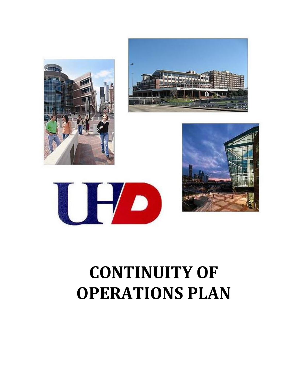







# **CONTINUITY OF OPERATIONS PLAN**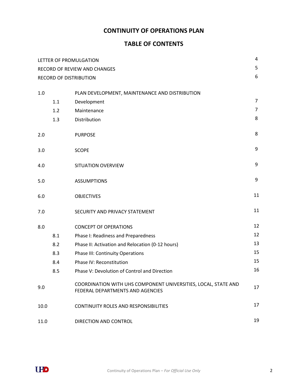# **CONTINUITY OF OPERATIONS PLAN**

# **TABLE OF CONTENTS**

|      |     | LETTER OF PROMULGATION                                                                             | 4              |
|------|-----|----------------------------------------------------------------------------------------------------|----------------|
|      |     | RECORD OF REVIEW AND CHANGES                                                                       | 5              |
|      |     | <b>RECORD OF DISTRIBUTION</b>                                                                      | 6              |
|      |     |                                                                                                    |                |
| 1.0  |     | PLAN DEVELOPMENT, MAINTENANCE AND DISTRIBUTION                                                     | $\overline{7}$ |
|      | 1.1 | Development                                                                                        |                |
|      | 1.2 | Maintenance                                                                                        | $\overline{7}$ |
|      | 1.3 | Distribution                                                                                       | 8              |
| 2.0  |     | <b>PURPOSE</b>                                                                                     | 8              |
| 3.0  |     | <b>SCOPE</b>                                                                                       | 9              |
| 4.0  |     | SITUATION OVERVIEW                                                                                 | 9              |
| 5.0  |     | <b>ASSUMPTIONS</b>                                                                                 | 9              |
| 6.0  |     | <b>OBJECTIVES</b>                                                                                  | 11             |
| 7.0  |     | SECURITY AND PRIVACY STATEMENT                                                                     | 11             |
| 8.0  |     | <b>CONCEPT OF OPERATIONS</b>                                                                       | 12             |
|      | 8.1 | Phase I: Readiness and Preparedness                                                                | 12             |
|      | 8.2 | Phase II: Activation and Relocation (0-12 hours)                                                   | 13             |
|      | 8.3 | <b>Phase III: Continuity Operations</b>                                                            | 15             |
|      | 8.4 | Phase IV: Reconstitution                                                                           | 15             |
|      | 8.5 | Phase V: Devolution of Control and Direction                                                       | 16             |
| 9.0  |     | COORDINATION WITH UHS COMPONENT UNIVERSITIES, LOCAL, STATE AND<br>FEDERAL DEPARTMENTS AND AGENCIES | 17             |
| 10.0 |     | <b>CONTINUITY ROLES AND RESPONSIBILITIES</b>                                                       | 17             |
| 11.0 |     | DIRECTION AND CONTROL                                                                              | 19             |

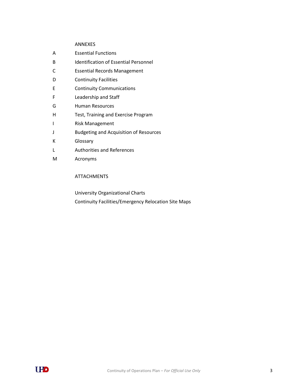#### ANNEXES

| А | <b>Essential Functions</b>                    |  |
|---|-----------------------------------------------|--|
| B | Identification of Essential Personnel         |  |
| С | <b>Essential Records Management</b>           |  |
| D | <b>Continuity Facilities</b>                  |  |
| E | <b>Continuity Communications</b>              |  |
| F | Leadership and Staff                          |  |
| G | <b>Human Resources</b>                        |  |
| н | Test, Training and Exercise Program           |  |
| ı | <b>Risk Management</b>                        |  |
| J | <b>Budgeting and Acquisition of Resources</b> |  |
| K | Glossary                                      |  |
| L | <b>Authorities and References</b>             |  |
| M | Acronyms                                      |  |
|   |                                               |  |

#### ATTACHMENTS

University Organizational Charts Continuity Facilities/Emergency Relocation Site Maps

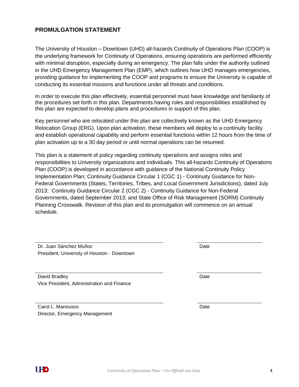## **PROMULGATION STATEMENT**

The University of Houston – Downtown (UHD) all-hazards Continuity of Operations Plan (COOP) is the underlying framework for Continuity of Operations, ensuring operations are performed efficiently with minimal disruption, especially during an emergency. The plan falls under the authority outlined in the UHD Emergency Management Plan (EMP), which outlines how UHD manages emergencies, providing guidance for implementing the COOP and programs to ensure the University is capable of conducting its essential missions and functions under all threats and conditions.

In order to execute this plan effectively, essential personnel must have knowledge and familiarity of the procedures set forth in this plan. Departments having roles and responsibilities established by this plan are expected to develop plans and procedures in support of this plan.

Key personnel who are relocated under this plan are collectively known as the UHD Emergency Relocation Group (ERG). Upon plan activation, these members will deploy to a continuity facility and establish operational capability and perform essential functions within 12 hours from the time of plan activation up to a 30 day period or until normal operations can be resumed.

This plan is a statement of policy regarding continuity operations and assigns roles and responsibilities to University organizations and individuals. This all-hazards Continuity of Operations Plan (COOP) is developed in accordance with guidance of the National Continuity Policy Implementation Plan; Continuity Guidance Circular 1 (CGC 1) - Continuity Guidance for Non-Federal Governments (States, Territories, Tribes, and Local Government Jurisdictions), dated July 2013; Continuity Guidance Circular 2 (CGC 2) - Continuity Guidance for Non-Federal Governments, dated September 2013; and State Office of Risk Management (SORM) Continuity Planning Crosswalk. Revision of this plan and its promulgation will commence on an annual schedule.

Dr. Juan Sánchez Muñoz Date President, University of Houston - Downtown

David Bradley **Date** Date **Date 2006** Vice President, Administration and Finance

Carol L. Manousos Date Director, Emergency Management

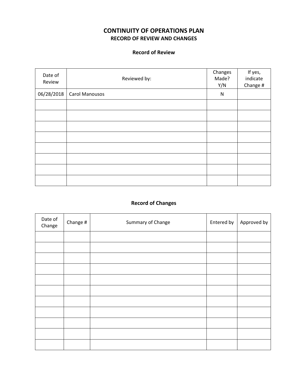# **CONTINUITY OF OPERATIONS PLAN RECORD OF REVIEW AND CHANGES**

### **Record of Review**

| Date of<br>Review | Reviewed by:   | Changes<br>Made?<br>Y/N | If yes,<br>indicate<br>Change # |
|-------------------|----------------|-------------------------|---------------------------------|
| 06/28/2018        | Carol Manousos | N                       |                                 |
|                   |                |                         |                                 |
|                   |                |                         |                                 |
|                   |                |                         |                                 |
|                   |                |                         |                                 |
|                   |                |                         |                                 |
|                   |                |                         |                                 |
|                   |                |                         |                                 |
|                   |                |                         |                                 |

# **Record of Changes**

| Date of<br>Change #<br>Change |  | Summary of Change | Entered by | Approved by |
|-------------------------------|--|-------------------|------------|-------------|
|                               |  |                   |            |             |
|                               |  |                   |            |             |
|                               |  |                   |            |             |
|                               |  |                   |            |             |
|                               |  |                   |            |             |
|                               |  |                   |            |             |
|                               |  |                   |            |             |
|                               |  |                   |            |             |
|                               |  |                   |            |             |
|                               |  |                   |            |             |
|                               |  |                   |            |             |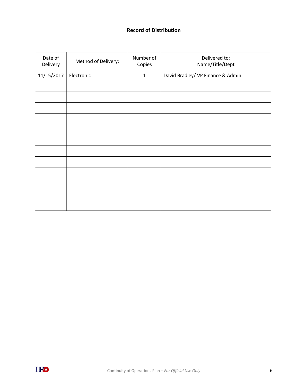## **Record of Distribution**

| Date of<br>Delivery | Method of Delivery: | Number of<br>Copies | Delivered to:<br>Name/Title/Dept  |
|---------------------|---------------------|---------------------|-----------------------------------|
| 11/15/2017          | Electronic          | $\mathbf{1}$        | David Bradley/ VP Finance & Admin |
|                     |                     |                     |                                   |
|                     |                     |                     |                                   |
|                     |                     |                     |                                   |
|                     |                     |                     |                                   |
|                     |                     |                     |                                   |
|                     |                     |                     |                                   |
|                     |                     |                     |                                   |
|                     |                     |                     |                                   |
|                     |                     |                     |                                   |
|                     |                     |                     |                                   |
|                     |                     |                     |                                   |
|                     |                     |                     |                                   |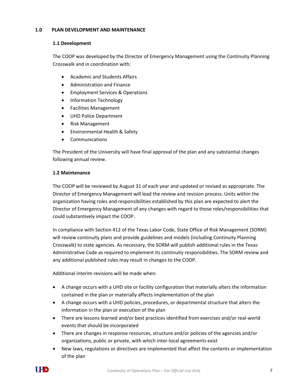#### **1.0 PLAN DEVELOPMENT AND MAINTENANCE**

#### **1.1 Development**

The COOP was developed by the Director of Emergency Management using the Continuity Planning Crosswalk and in coordination with:

- Academic and Students Affairs
- Administration and Finance
- **•** Employment Services & Operations
- Information Technology
- Facilities Management
- UHD Police Department
- Risk Management
- Environmental Health & Safety
- Communications

The President of the University will have final approval of the plan and any substantial changes following annual review.

#### **1.2 Maintenance**

The COOP will be reviewed by August 31 of each year and updated or revised as appropriate. The Director of Emergency Management will lead the review and revision process. Units within the organization having roles and responsibilities established by this plan are expected to alert the Director of Emergency Management of any changes with regard to those roles/responsibilities that could substantively impact the COOP.

In compliance with Section 412 of the Texas Labor Code, State Office of Risk Management (SORM) will review continuity plans and provide guidelines and models (including Continuity Planning Crosswalk) to state agencies. As necessary, the SORM will publish additional rules in the Texas Administrative Code as required to implement its continuity responsibilities. The SORM review and any additional published rules may result in changes to the COOP.

Additional interim revisions will be made when:

- A change occurs with a UHD site or facility configuration that materially alters the information contained in the plan or materially affects implementation of the plan
- A change occurs with a UHD policies, procedures, or departmental structure that alters the information in the plan or execution of the plan
- There are lessons learned and/or best practices identified from exercises and/or real-world events that should be incorporated
- There are changes in response resources, structure and/or policies of the agencies and/or organizations, public or private, with which inter-local agreements exist
- New laws, regulations or directives are implemented that affect the contents or implementation of the plan

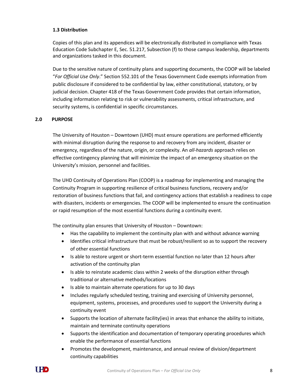#### **1.3 Distribution**

Copies of this plan and its appendices will be electronically distributed in compliance with Texas Education Code Subchapter E, Sec. 51.217, Subsection (f) to those campus leadership, departments and organizations tasked in this document.

Due to the sensitive nature of continuity plans and supporting documents, the COOP will be labeled "*For Official Use Only*." Section 552.101 of the Texas Government Code exempts information from public disclosure if considered to be confidential by law, either constitutional, statutory, or by judicial decision. Chapter 418 of the Texas Government Code provides that certain information, including information relating to risk or vulnerability assessments, critical infrastructure, and security systems, is confidential in specific circumstances.

#### **2.0 PURPOSE**

The University of Houston – Downtown (UHD) must ensure operations are performed efficiently with minimal disruption during the response to and recovery from any incident, disaster or emergency, regardless of the nature, origin, or complexity. An *all-hazards* approach relies on effective contingency planning that will minimize the impact of an emergency situation on the University's mission, personnel and facilities.

The UHD Continuity of Operations Plan (COOP) is a roadmap for implementing and managing the Continuity Program in supporting resilience of critical business functions, recovery and/or restoration of business functions that fail, and contingency actions that establish a readiness to cope with disasters, incidents or emergencies. The COOP will be implemented to ensure the continuation or rapid resumption of the most essential functions during a continuity event.

The continuity plan ensures that University of Houston – Downtown:

- Has the capability to implement the continuity plan with and without advance warning
- Identifies critical infrastructure that must be robust/resilient so as to support the recovery of other essential functions
- Is able to restore urgent or short-term essential function no later than 12 hours after activation of the continuity plan
- Is able to reinstate academic class within 2 weeks of the disruption either through traditional or alternative methods/locations
- Is able to maintain alternate operations for up to 30 days
- Includes regularly scheduled testing, training and exercising of University personnel, equipment, systems, processes, and procedures used to support the University during a continuity event
- Supports the location of alternate facility(ies) in areas that enhance the ability to initiate, maintain and terminate continuity operations
- Supports the identification and documentation of temporary operating procedures which enable the performance of essential functions
- Promotes the development, maintenance, and annual review of division/department continuity capabilities

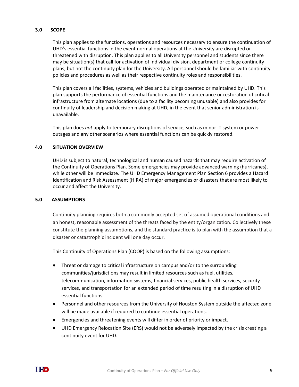#### **3.0 SCOPE**

This plan applies to the functions, operations and resources necessary to ensure the continuation of UHD's essential functions in the event normal operations at the University are disrupted or threatened with disruption. This plan applies to all University personnel and students since there may be situation(s) that call for activation of individual division, department or college continuity plans, but not the continuity plan for the University. All personnel should be familiar with continuity policies and procedures as well as their respective continuity roles and responsibilities.

This plan covers all facilities, systems, vehicles and buildings operated or maintained by UHD. This plan supports the performance of essential functions and the maintenance or restoration of critical infrastructure from alternate locations (due to a facility becoming unusable) and also provides for continuity of leadership and decision making at UHD, in the event that senior administration is unavailable.

This plan does *not* apply to temporary disruptions of service, such as minor IT system or power outages and any other scenarios where essential functions can be quickly restored.

#### **4.0 SITUATION OVERVIEW**

UHD is subject to natural, technological and human caused hazards that may require activation of the Continuity of Operations Plan. Some emergencies may provide advanced warning (hurricanes), while other will be immediate. The UHD Emergency Management Plan Section 6 provides a Hazard Identification and Risk Assessment (HIRA) of major emergencies or disasters that are most likely to occur and affect the University.

#### **5.0 ASSUMPTIONS**

Continuity planning requires both a commonly accepted set of assumed operational conditions and an honest, reasonable assessment of the threats faced by the entity/organization. Collectively these constitute the planning assumptions, and the standard practice is to plan with the assumption that a disaster or catastrophic incident will one day occur.

This Continuity of Operations Plan (COOP) is based on the following assumptions:

- Threat or damage to critical infrastructure on campus and/or to the surrounding communities/jurisdictions may result in limited resources such as fuel, utilities, telecommunication, information systems, financial services, public health services, security services, and transportation for an extended period of time resulting in a disruption of UHD essential functions.
- Personnel and other resources from the University of Houston System outside the affected zone will be made available if required to continue essential operations.
- Emergencies and threatening events will differ in order of priority or impact.
- UHD Emergency Relocation Site (ERS) would not be adversely impacted by the crisis creating a continuity event for UHD.

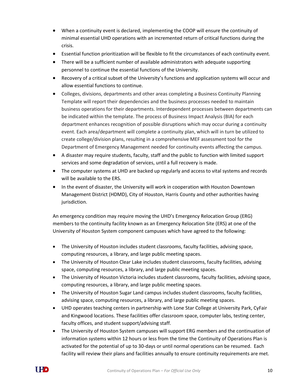- When a continuity event is declared, implementing the COOP will ensure the continuity of minimal essential UHD operations with an incremented return of critical functions during the crisis.
- Essential function prioritization will be flexible to fit the circumstances of each continuity event.
- There will be a sufficient number of available administrators with adequate supporting personnel to continue the essential functions of the University.
- Recovery of a critical subset of the University's functions and application systems will occur and allow essential functions to continue.
- Colleges, divisions, departments and other areas completing a Business Continuity Planning Template will report their dependencies and the business processes needed to maintain business operations for their departments. Interdependent processes between departments can be indicated within the template. The process of Business Impact Analysis (BIA) for each department enhances recognition of possible disruptions which may occur during a continuity event. Each area/department will complete a continuity plan, which will in turn be utilized to create college/division plans, resulting in a comprehensive MEF assessment tool for the Department of Emergency Management needed for continuity events affecting the campus.
- A disaster may require students, faculty, staff and the public to function with limited support services and some degradation of services, until a full recovery is made.
- The computer systems at UHD are backed up regularly and access to vital systems and records will be available to the ERS.
- In the event of disaster, the University will work in cooperation with Houston Downtown Management District (HDMD), City of Houston, Harris County and other authorities having jurisdiction.

An emergency condition may require moving the UHD's Emergency Relocation Group (ERG) members to the continuity facility known as an Emergency Relocation Site (ERS) at one of the University of Houston System component campuses which have agreed to the following:

- The University of Houston includes student classrooms, faculty facilities, advising space, computing resources, a library, and large public meeting spaces.
- The University of Houston Clear Lake includes student classrooms, faculty facilities, advising space, computing resources, a library, and large public meeting spaces.
- The University of Houston Victoria includes student classrooms, faculty facilities, advising space, computing resources, a library, and large public meeting spaces.
- The University of Houston Sugar Land campus includes student classrooms, faculty facilities, advising space, computing resources, a library, and large public meeting spaces.
- UHD operates teaching centers in partnership with Lone Star College at University Park, CyFair and Kingwood locations. These facilities offer classroom space, computer labs, testing center, faculty offices, and student support/advising staff.
- The University of Houston System campuses will support ERG members and the continuation of information systems within 12 hours or less from the time the Continuity of Operations Plan is activated for the potential of up to 30-days or until normal operations can be resumed. Each facility will review their plans and facilities annually to ensure continuity requirements are met.

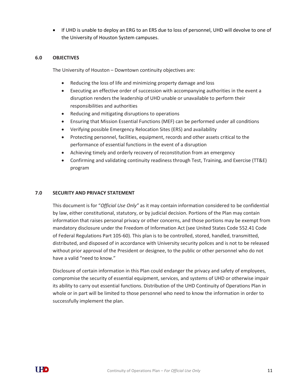If UHD is unable to deploy an ERG to an ERS due to loss of personnel, UHD will devolve to one of the University of Houston System campuses.

#### **6.0 OBJECTIVES**

The University of Houston – Downtown continuity objectives are:

- Reducing the loss of life and minimizing property damage and loss
- Executing an effective order of succession with accompanying authorities in the event a disruption renders the leadership of UHD unable or unavailable to perform their responsibilities and authorities
- Reducing and mitigating disruptions to operations
- Ensuring that Mission Essential Functions (MEF) can be performed under all conditions
- Verifying possible Emergency Relocation Sites (ERS) and availability
- Protecting personnel, facilities, equipment, records and other assets critical to the performance of essential functions in the event of a disruption
- Achieving timely and orderly recovery of reconstitution from an emergency
- Confirming and validating continuity readiness through Test, Training, and Exercise (TT&E) program

#### **7.0 SECURITY AND PRIVACY STATEMENT**

This document is for "*Official Use Only"* as it may contain information considered to be confidential by law, either constitutional, statutory, or by judicial decision. Portions of the Plan may contain information that raises personal privacy or other concerns, and those portions may be exempt from mandatory disclosure under the Freedom of Information Act (see United States Code 552.41 Code of Federal Regulations Part 105-60). This plan is to be controlled, stored, handled, transmitted, distributed, and disposed of in accordance with University security polices and is not to be released without prior approval of the President or designee, to the public or other personnel who do not have a valid "need to know."

Disclosure of certain information in this Plan could endanger the privacy and safety of employees, compromise the security of essential equipment, services, and systems of UHD or otherwise impair its ability to carry out essential functions. Distribution of the UHD Continuity of Operations Plan in whole or in part will be limited to those personnel who need to know the information in order to successfully implement the plan.

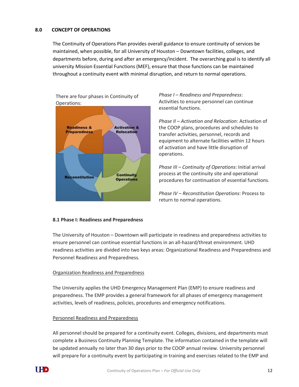#### **8.0 CONCEPT OF OPERATIONS**

The Continuity of Operations Plan provides overall guidance to ensure continuity of services be maintained, when possible, for all University of Houston – Downtown facilities, colleges, and departments before, during and after an emergency/incident. The overarching goal is to identify all university Mission Essential Functions (MEF), ensure that those functions can be maintained throughout a continuity event with minimal disruption, and return to normal operations.



*Phase I* – *Readiness and Preparedness*: Activities to ensure personnel can continue essential functions.

*Phase II – Activation and Relocation*: Activation of the COOP plans, procedures and schedules to transfer activities, personnel, records and equipment to alternate facilities within 12 hours of activation and have little disruption of operations.

*Phase III – Continuity of Operations*: Initial arrival process at the continuity site and operational procedures for continuation of essential functions.

*Phase IV – Reconstitution Operations*: Process to return to normal operations.

#### **8.1 Phase I: Readiness and Preparedness**

The University of Houston – Downtown will participate in readiness and preparedness activities to ensure personnel can continue essential functions in an all-hazard/threat environment. UHD readiness activities are divided into two keys areas: Organizational Readiness and Preparedness and Personnel Readiness and Preparedness.

#### Organization Readiness and Preparedness

The University applies the UHD Emergency Management Plan (EMP) to ensure readiness and preparedness. The EMP provides a general framework for all phases of emergency management activities, levels of readiness, policies, procedures and emergency notifications.

#### Personnel Readiness and Preparedness

All personnel should be prepared for a continuity event. Colleges, divisions, and departments must complete a Business Continuity Planning Template. The information contained in the template will be updated annually no later than 30 days prior to the COOP annual review. University personnel will prepare for a continuity event by participating in training and exercises related to the EMP and

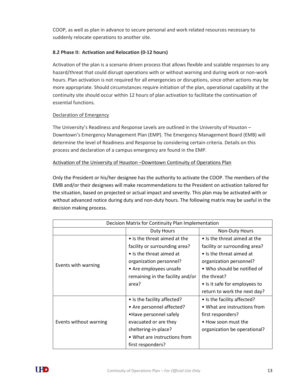COOP, as well as plan in advance to secure personal and work related resources necessary to suddenly relocate operations to another site.

#### **8.2 Phase II: Activation and Relocation (0-12 hours)**

Activation of the plan is a scenario driven process that allows flexible and scalable responses to any hazard/threat that could disrupt operations with or without warning and during work or non-work hours. Plan activation is not required for all emergencies or disruptions, since other actions may be more appropriate. Should circumstances require initiation of the plan, operational capability at the continuity site should occur within 12 hours of plan activation to facilitate the continuation of essential functions.

#### Declaration of Emergency

The University's Readiness and Response Levels are outlined in the University of Houston – Downtown's Emergency Management Plan (EMP). The Emergency Management Board (EMB) will determine the level of Readiness and Response by considering certain criteria. Details on this process and declaration of a campus emergency are found in the EMP.

#### Activation of the University of Houston –Downtown Continuity of Operations Plan

Only the President or his/her designee has the authority to activate the COOP. The members of the EMB and/or their designees will make recommendations to the President on activation tailored for the situation, based on projected or actual impact and severity. This plan may be activated with or without advanced notice during duty and non-duty hours. The following matrix may be useful in the decision making process.

| Decision Matrix for Continuity Plan Implementation |                                  |                               |  |
|----------------------------------------------------|----------------------------------|-------------------------------|--|
|                                                    | <b>Duty Hours</b>                | <b>Non-Duty Hours</b>         |  |
|                                                    | • Is the threat aimed at the     | • Is the threat aimed at the  |  |
|                                                    | facility or surrounding area?    | facility or surrounding area? |  |
|                                                    | $\bullet$ Is the threat aimed at | • Is the threat aimed at      |  |
| Events with warning                                | organization personnel?          | organization personnel?       |  |
|                                                    | • Are employees unsafe           | • Who should be notified of   |  |
|                                                    | remaining in the facility and/or | the threat?                   |  |
|                                                    | area?                            | • Is it safe for employees to |  |
|                                                    |                                  | return to work the next day?  |  |
|                                                    | • Is the facility affected?      | • Is the facility affected?   |  |
|                                                    | • Are personnel affected?        | • What are instructions from  |  |
|                                                    | • Have personnel safely          | first responders?             |  |
| Events without warning                             | evacuated or are they            | • How soon must the           |  |
|                                                    | sheltering-in-place?             | organization be operational?  |  |
|                                                    | • What are instructions from     |                               |  |
|                                                    | first responders?                |                               |  |

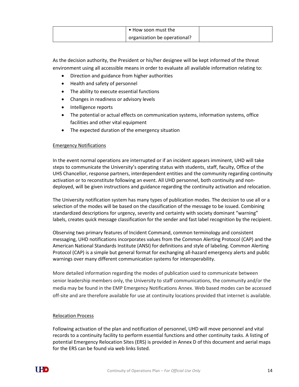| • How soon must the          |  |
|------------------------------|--|
| organization be operational? |  |

As the decision authority, the President or his/her designee will be kept informed of the threat environment using all accessible means in order to evaluate all available information relating to:

- Direction and guidance from higher authorities
- Health and safety of personnel
- The ability to execute essential functions
- Changes in readiness or advisory levels
- Intelligence reports
- The potential or actual effects on communication systems, information systems, office facilities and other vital equipment
- The expected duration of the emergency situation

#### Emergency Notifications

In the event normal operations are interrupted or if an incident appears imminent, UHD will take steps to communicate the University's operating status with students, staff, faculty, Office of the UHS Chancellor, response partners, interdependent entities and the community regarding continuity activation or to reconstitute following an event. All UHD personnel, both continuity and nondeployed, will be given instructions and guidance regarding the continuity activation and relocation.

The University notification system has many types of publication modes. The decision to use all or a selection of the modes will be based on the classification of the message to be issued. Combining standardized descriptions for urgency, severity and certainty with society dominant "warning" labels, creates quick message classification for the sender and fast label recognition by the recipient.

Observing two primary features of Incident Command, common terminology and consistent messaging, UHD notifications incorporates values from the Common Alerting Protocol (CAP) and the American National Standards Institute (ANSI) for definitions and style of labeling. Common Alerting Protocol (CAP) is a simple but general format for exchanging all-hazard emergency alerts and public warnings over many different communication systems for interoperability.

More detailed information regarding the modes of publication used to communicate between senior leadership members only, the University to staff communications, the community and/or the media may be found in the EMP Emergency Notifications Annex. Web based modes can be accessed off-site and are therefore available for use at continuity locations provided that internet is available.

#### Relocation Process

Following activation of the plan and notification of personnel, UHD will move personnel and vital records to a continuity facility to perform essential functions and other continuity tasks. A listing of potential Emergency Relocation Sites (ERS) is provided in Annex D of this document and aerial maps for the ERS can be found via web links listed.

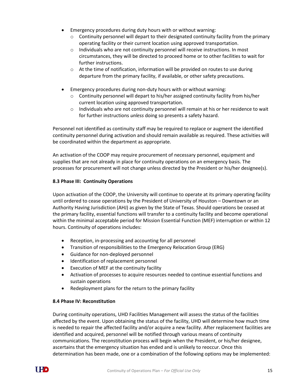- Emergency procedures during duty hours with or without warning:
	- $\circ$  Continuity personnel will depart to their designated continuity facility from the primary operating facility or their current location using approved transportation.
	- $\circ$  Individuals who are not continuity personnel will receive instructions. In most circumstances, they will be directed to proceed home or to other facilities to wait for further instructions.
	- $\circ$  At the time of notification, information will be provided on routes to use during departure from the primary facility, if available, or other safety precautions.
- Emergency procedures during non-duty hours with or without warning:
	- $\circ$  Continuity personnel will depart to his/her assigned continuity facility from his/her current location using approved transportation.
	- o Individuals who are not continuity personnel will remain at his or her residence to wait for further instructions *unless* doing so presents a safety hazard.

Personnel not identified as continuity staff may be required to replace or augment the identified continuity personnel during activation and should remain available as required. These activities will be coordinated within the department as appropriate.

An activation of the COOP may require procurement of necessary personnel, equipment and supplies that are not already in place for continuity operations on an emergency basis. The processes for procurement will not change unless directed by the President or his/her designee(s).

#### **8.3 Phase III: Continuity Operations**

Upon activation of the COOP, the University will continue to operate at its primary operating facility until ordered to cease operations by the President of University of Houston – Downtown or an Authority Having Jurisdiction (AHJ) as given by the State of Texas. Should operations be ceased at the primary facility, essential functions will transfer to a continuity facility and become operational within the minimal acceptable period for Mission Essential Function (MEF) interruption or within 12 hours. Continuity of operations includes:

- Reception, in-processing and accounting for all personnel
- Transition of responsibilities to the Emergency Relocation Group (ERG)
- Guidance for non-deployed personnel
- $\bullet$  Identification of replacement personnel
- Execution of MEF at the continuity facility
- Activation of processes to acquire resources needed to continue essential functions and sustain operations
- Redeployment plans for the return to the primary facility

#### **8.4 Phase IV: Reconstitution**

During continuity operations, UHD Facilities Management will assess the status of the facilities affected by the event. Upon obtaining the status of the facility, UHD will determine how much time is needed to repair the affected facility and/or acquire a new facility. After replacement facilities are identified and acquired, personnel will be notified through various means of continuity communications. The reconstitution process will begin when the President, or his/her designee, ascertains that the emergency situation has ended and is unlikely to reoccur. Once this determination has been made, one or a combination of the following options may be implemented:

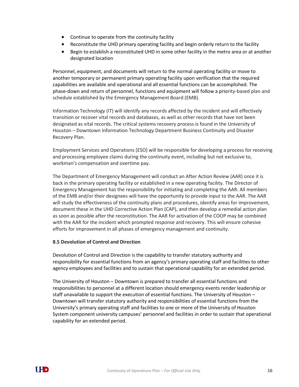- Continue to operate from the continuity facility
- Reconstitute the UHD primary operating facility and begin orderly return to the facility
- Begin to establish a reconstituted UHD in some other facility in the metro area or at another designated location

Personnel, equipment, and documents will return to the normal operating facility or move to another temporary or permanent primary operating facility upon verification that the required capabilities are available and operational and all essential functions can be accomplished. The phase-down and return of personnel, functions and equipment will follow a priority-based plan and schedule established by the Emergency Management Board (EMB).

Information Technology (IT) will identify any records affected by the incident and will effectively transition or recover vital records and databases, as well as other records that have not been designated as vital records. The critical systems recovery process is found in the University of Houston – Downtown Information Technology Department Business Continuity and Disaster Recovery Plan.

Employment Services and Operations (ESO) will be responsible for developing a process for receiving and processing employee claims during the continuity event, including but not exclusive to, workman's compensation and overtime pay.

The Department of Emergency Management will conduct an After Action Review (AAR) once it is back in the primary operating facility or established in a new operating facility. The Director of Emergency Management has the responsibility for initiating and completing the AAR. All members of the EMB and/or their designees will have the opportunity to provide input to the AAR. The AAR will study the effectiveness of the continuity plans and procedures, identify areas for improvement, document these in the UHD Corrective Action Plan (CAP), and then develop a remedial action plan as soon as possible after the reconstitution. The AAR for activation of the COOP may be combined with the AAR for the incident which prompted response and recovery. This will ensure cohesive efforts for improvement in all phases of emergency management and continuity.

#### **8.5 Devolution of Control and Direction**

Devolution of Control and Direction is the capability to transfer statutory authority and responsibility for essential functions from an agency's primary operating staff and facilities to other agency employees and facilities and to sustain that operational capability for an extended period.

The University of Houston – Downtown is prepared to transfer all essential functions and responsibilities to personnel at a different location should emergency events render leadership or staff unavailable to support the execution of essential functions. The University of Houston – Downtown will transfer statutory authority and responsibilities of essential functions from the University's primary operating staff and facilities to one or more of the University of Houston System component university campuses' personnel and facilities in order to sustain that operational capability for an extended period.

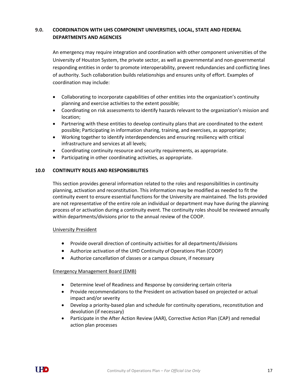## **9.0. COORDINATION WITH UHS COMPONENT UNIVERSITIES, LOCAL, STATE AND FEDERAL DEPARTMENTS AND AGENCIES**

An emergency may require integration and coordination with other component universities of the University of Houston System, the private sector, as well as governmental and non-governmental responding entities in order to promote interoperability, prevent redundancies and conflicting lines of authority. Such collaboration builds relationships and ensures unity of effort. Examples of coordination may include:

- Collaborating to incorporate capabilities of other entities into the organization's continuity planning and exercise activities to the extent possible;
- Coordinating on risk assessments to identify hazards relevant to the organization's mission and location;
- Partnering with these entities to develop continuity plans that are coordinated to the extent possible; Participating in information sharing, training, and exercises, as appropriate;
- Working together to identify interdependencies and ensuring resiliency with critical infrastructure and services at all levels;
- Coordinating continuity resource and security requirements, as appropriate.
- Participating in other coordinating activities, as appropriate.

#### **10.0 CONTINUITY ROLES AND RESPONSIBILITIES**

This section provides general information related to the roles and responsibilities in continuity planning, activation and reconstitution. This information may be modified as needed to fit the continuity event to ensure essential functions for the University are maintained. The lists provided are not representative of the entire role an individual or department may have during the planning process of or activation during a continuity event. The continuity roles should be reviewed annually within departments/divisions prior to the annual review of the COOP.

#### University President

- Provide overall direction of continuity activities for all departments/divisions
- Authorize activation of the UHD Continuity of Operations Plan (COOP)
- Authorize cancellation of classes or a campus closure, if necessary

#### Emergency Management Board (EMB)

- Determine level of Readiness and Response by considering certain criteria
- Provide recommendations to the President on activation based on projected or actual impact and/or severity
- Develop a priority-based plan and schedule for continuity operations, reconstitution and devolution (if necessary)
- Participate in the After Action Review (AAR), Corrective Action Plan (CAP) and remedial action plan processes

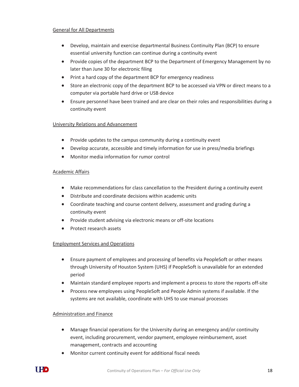#### General for All Departments

- Develop, maintain and exercise departmental Business Continuity Plan (BCP) to ensure essential university function can continue during a continuity event
- Provide copies of the department BCP to the Department of Emergency Management by no later than June 30 for electronic filing
- Print a hard copy of the department BCP for emergency readiness
- Store an electronic copy of the department BCP to be accessed via VPN or direct means to a computer via portable hard drive or USB device
- Ensure personnel have been trained and are clear on their roles and responsibilities during a continuity event

#### University Relations and Advancement

- Provide updates to the campus community during a continuity event
- Develop accurate, accessible and timely information for use in press/media briefings
- Monitor media information for rumor control

#### Academic Affairs

- Make recommendations for class cancellation to the President during a continuity event
- Distribute and coordinate decisions within academic units
- Coordinate teaching and course content delivery, assessment and grading during a continuity event
- Provide student advising via electronic means or off-site locations
- Protect research assets

#### Employment Services and Operations

- Ensure payment of employees and processing of benefits via PeopleSoft or other means through University of Houston System (UHS) if PeopleSoft is unavailable for an extended period
- Maintain standard employee reports and implement a process to store the reports off-site
- Process new employees using PeopleSoft and People Admin systems if available. If the systems are not available, coordinate with UHS to use manual processes

#### Administration and Finance

- Manage financial operations for the University during an emergency and/or continuity event, including procurement, vendor payment, employee reimbursement, asset management, contracts and accounting
- Monitor current continuity event for additional fiscal needs